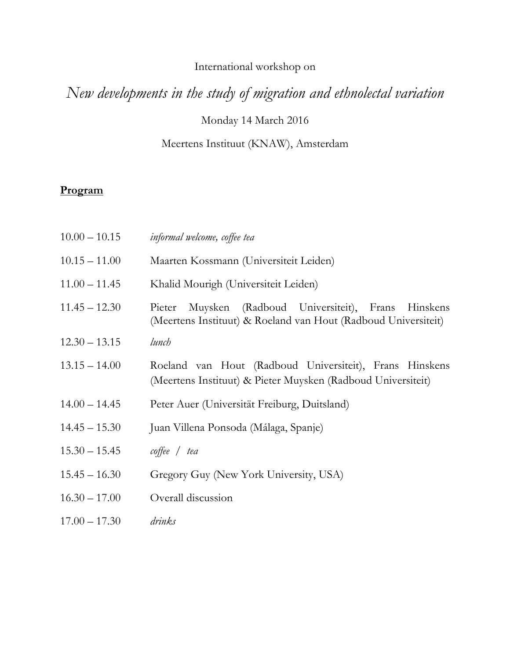# International workshop on

# *New developments in the study of migration and ethnolectal variation*

Monday 14 March 2016

# Meertens Instituut (KNAW), Amsterdam

# **Program**

| $10.00 - 10.15$ | informal welcome, coffee tea                                                                                                     |
|-----------------|----------------------------------------------------------------------------------------------------------------------------------|
| $10.15 - 11.00$ | Maarten Kossmann (Universiteit Leiden)                                                                                           |
| $11.00 - 11.45$ | Khalid Mourigh (Universiteit Leiden)                                                                                             |
| $11.45 - 12.30$ | Muysken (Radboud Universiteit),<br>Frans<br>Hinskens<br>Pieter<br>(Meertens Instituut) & Roeland van Hout (Radboud Universiteit) |
| $12.30 - 13.15$ | lunch                                                                                                                            |
| $13.15 - 14.00$ | Roeland van Hout (Radboud Universiteit), Frans Hinskens<br>(Meertens Instituut) & Pieter Muysken (Radboud Universiteit)          |
| $14.00 - 14.45$ | Peter Auer (Universität Freiburg, Duitsland)                                                                                     |
| $14.45 - 15.30$ | Juan Villena Ponsoda (Málaga, Spanje)                                                                                            |
| $15.30 - 15.45$ | $\textit{cofree}$ / tea                                                                                                          |
| $15.45 - 16.30$ | Gregory Guy (New York University, USA)                                                                                           |
| $16.30 - 17.00$ | Overall discussion                                                                                                               |
| $17.00 - 17.30$ | drinks                                                                                                                           |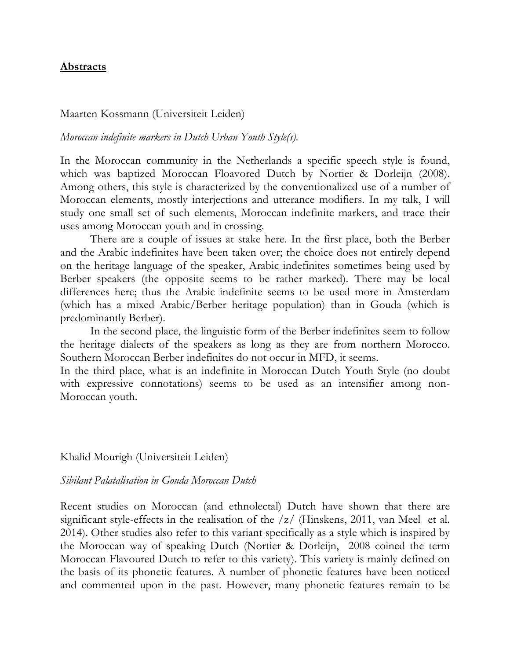## **Abstracts**

#### Maarten Kossmann (Universiteit Leiden)

#### *Moroccan indefinite markers in Dutch Urban Youth Style(s).*

In the Moroccan community in the Netherlands a specific speech style is found, which was baptized Moroccan Floavored Dutch by Nortier & Dorleijn (2008). Among others, this style is characterized by the conventionalized use of a number of Moroccan elements, mostly interjections and utterance modifiers. In my talk, I will study one small set of such elements, Moroccan indefinite markers, and trace their uses among Moroccan youth and in crossing.

There are a couple of issues at stake here. In the first place, both the Berber and the Arabic indefinites have been taken over; the choice does not entirely depend on the heritage language of the speaker, Arabic indefinites sometimes being used by Berber speakers (the opposite seems to be rather marked). There may be local differences here; thus the Arabic indefinite seems to be used more in Amsterdam (which has a mixed Arabic/Berber heritage population) than in Gouda (which is predominantly Berber).

In the second place, the linguistic form of the Berber indefinites seem to follow the heritage dialects of the speakers as long as they are from northern Morocco. Southern Moroccan Berber indefinites do not occur in MFD, it seems.

In the third place, what is an indefinite in Moroccan Dutch Youth Style (no doubt with expressive connotations) seems to be used as an intensifier among non-Moroccan youth.

Khalid Mourigh (Universiteit Leiden)

#### *Sibilant Palatalisation in Gouda Moroccan Dutch*

Recent studies on Moroccan (and ethnolectal) Dutch have shown that there are significant style-effects in the realisation of the  $\frac{z}{\sqrt{1}}$  (Hinskens, 2011, van Meel et al. 2014). Other studies also refer to this variant specifically as a style which is inspired by the Moroccan way of speaking Dutch (Nortier & Dorleijn, 2008 coined the term Moroccan Flavoured Dutch to refer to this variety). This variety is mainly defined on the basis of its phonetic features. A number of phonetic features have been noticed and commented upon in the past. However, many phonetic features remain to be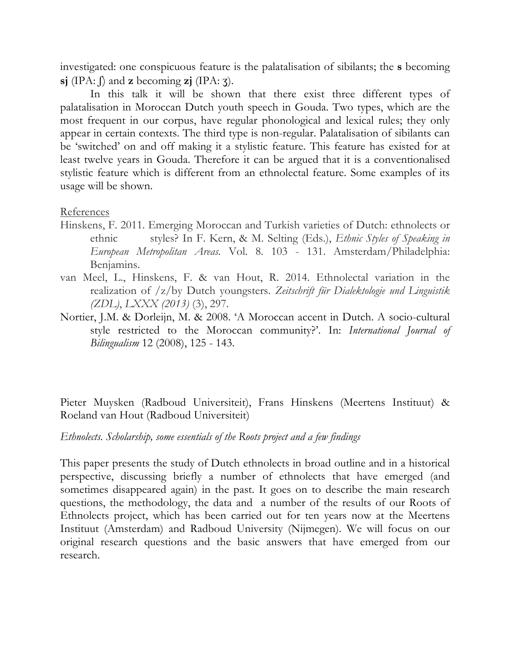investigated: one conspicuous feature is the palatalisation of sibilants; the **s** becoming **sj** (IPA: ʃ) and **z** becoming **zj** (IPA: ʒ).

In this talk it will be shown that there exist three different types of palatalisation in Moroccan Dutch youth speech in Gouda. Two types, which are the most frequent in our corpus, have regular phonological and lexical rules; they only appear in certain contexts. The third type is non-regular. Palatalisation of sibilants can be 'switched' on and off making it a stylistic feature. This feature has existed for at least twelve years in Gouda. Therefore it can be argued that it is a conventionalised stylistic feature which is different from an ethnolectal feature. Some examples of its usage will be shown.

## References

- Hinskens, F. 2011. Emerging Moroccan and Turkish varieties of Dutch: ethnolects or ethnic styles? In F. Kern, & M. Selting (Eds.), *Ethnic Styles of Speaking in European Metropolitan Areas.* Vol. 8. 103 - 131. Amsterdam/Philadelphia: Benjamins.
- van Meel, L., Hinskens, F. & van Hout, R. 2014. Ethnolectal variation in the realization of /z/by Dutch youngsters. *Zeitschrift für Dialektologie und Linguistik (ZDL)*, *LXXX (2013)* (3), 297.
- Nortier, J.M. & Dorleijn, M. & 2008. 'A Moroccan accent in Dutch. A socio-cultural style restricted to the Moroccan community?'. In: *International Journal of Bilingualism* 12 (2008), 125 - 143.

Pieter Muysken (Radboud Universiteit), Frans Hinskens (Meertens Instituut) & Roeland van Hout (Radboud Universiteit)

*Ethnolects. Scholarship, some essentials of the Roots project and a few findings*

This paper presents the study of Dutch ethnolects in broad outline and in a historical perspective, discussing briefly a number of ethnolects that have emerged (and sometimes disappeared again) in the past. It goes on to describe the main research questions, the methodology, the data and a number of the results of our Roots of Ethnolects project, which has been carried out for ten years now at the Meertens Instituut (Amsterdam) and Radboud University (Nijmegen). We will focus on our original research questions and the basic answers that have emerged from our research.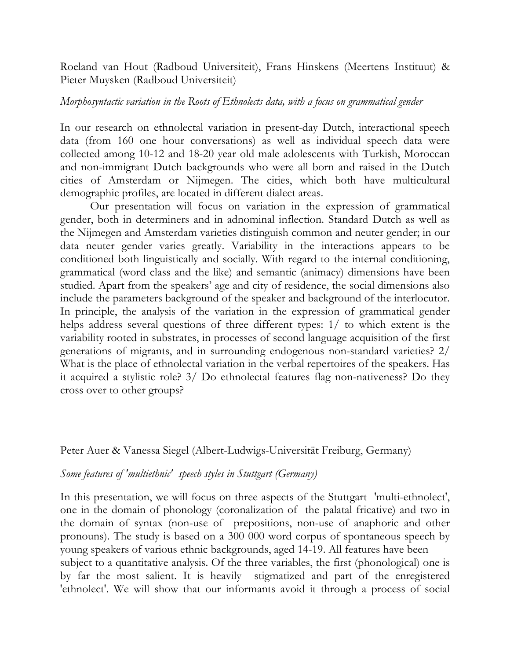Roeland van Hout (Radboud Universiteit), Frans Hinskens (Meertens Instituut) & Pieter Muysken (Radboud Universiteit)

#### *Morphosyntactic variation in the Roots of Ethnolects data, with a focus on grammatical gender*

In our research on ethnolectal variation in present-day Dutch, interactional speech data (from 160 one hour conversations) as well as individual speech data were collected among 10-12 and 18-20 year old male adolescents with Turkish, Moroccan and non-immigrant Dutch backgrounds who were all born and raised in the Dutch cities of Amsterdam or Nijmegen. The cities, which both have multicultural demographic profiles, are located in different dialect areas.

Our presentation will focus on variation in the expression of grammatical gender, both in determiners and in adnominal inflection. Standard Dutch as well as the Nijmegen and Amsterdam varieties distinguish common and neuter gender; in our data neuter gender varies greatly. Variability in the interactions appears to be conditioned both linguistically and socially. With regard to the internal conditioning, grammatical (word class and the like) and semantic (animacy) dimensions have been studied. Apart from the speakers' age and city of residence, the social dimensions also include the parameters background of the speaker and background of the interlocutor. In principle, the analysis of the variation in the expression of grammatical gender helps address several questions of three different types: 1/ to which extent is the variability rooted in substrates, in processes of second language acquisition of the first generations of migrants, and in surrounding endogenous non-standard varieties? 2/ What is the place of ethnolectal variation in the verbal repertoires of the speakers. Has it acquired a stylistic role? 3/ Do ethnolectal features flag non-nativeness? Do they cross over to other groups?

## Peter Auer & Vanessa Siegel (Albert-Ludwigs-Universität Freiburg, Germany)

#### *Some features of 'multiethnic' speech styles in Stuttgart (Germany)*

In this presentation, we will focus on three aspects of the Stuttgart 'multi-ethnolect', one in the domain of phonology (coronalization of the palatal fricative) and two in the domain of syntax (non-use of prepositions, non-use of anaphoric and other pronouns). The study is based on a 300 000 word corpus of spontaneous speech by young speakers of various ethnic backgrounds, aged 14-19. All features have been subject to a quantitative analysis. Of the three variables, the first (phonological) one is by far the most salient. It is heavily stigmatized and part of the enregistered 'ethnolect'. We will show that our informants avoid it through a process of social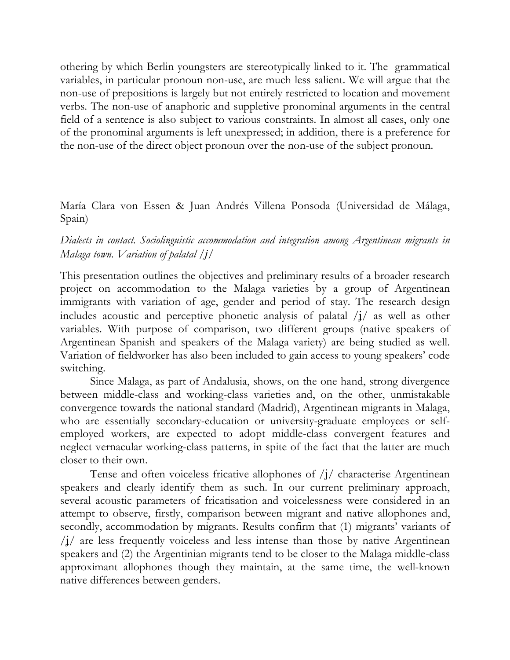othering by which Berlin youngsters are stereotypically linked to it. The grammatical variables, in particular pronoun non-use, are much less salient. We will argue that the non-use of prepositions is largely but not entirely restricted to location and movement verbs. The non-use of anaphoric and suppletive pronominal arguments in the central field of a sentence is also subject to various constraints. In almost all cases, only one of the pronominal arguments is left unexpressed; in addition, there is a preference for the non-use of the direct object pronoun over the non-use of the subject pronoun.

María Clara von Essen & Juan Andrés Villena Ponsoda (Universidad de Málaga, Spain)

# *Dialects in contact. Sociolinguistic accommodation and integration among Argentinean migrants in Malaga town. Variation of palatal /ʝ/*

This presentation outlines the objectives and preliminary results of a broader research project on accommodation to the Malaga varieties by a group of Argentinean immigrants with variation of age, gender and period of stay. The research design includes acoustic and perceptive phonetic analysis of palatal  $\frac{1}{4}$  as well as other variables. With purpose of comparison, two different groups (native speakers of Argentinean Spanish and speakers of the Malaga variety) are being studied as well. Variation of fieldworker has also been included to gain access to young speakers' code switching.

Since Malaga, as part of Andalusia, shows, on the one hand, strong divergence between middle-class and working-class varieties and, on the other, unmistakable convergence towards the national standard (Madrid), Argentinean migrants in Malaga, who are essentially secondary-education or university-graduate employees or selfemployed workers, are expected to adopt middle-class convergent features and neglect vernacular working-class patterns, in spite of the fact that the latter are much closer to their own.

Tense and often voiceless fricative allophones of  $\frac{1}{\sqrt{2}}$  characterise Argentinean speakers and clearly identify them as such. In our current preliminary approach, several acoustic parameters of fricatisation and voicelessness were considered in an attempt to observe, firstly, comparison between migrant and native allophones and, secondly, accommodation by migrants. Results confirm that (1) migrants' variants of  $\langle i \rangle$  are less frequently voiceless and less intense than those by native Argentinean speakers and (2) the Argentinian migrants tend to be closer to the Malaga middle-class approximant allophones though they maintain, at the same time, the well-known native differences between genders.